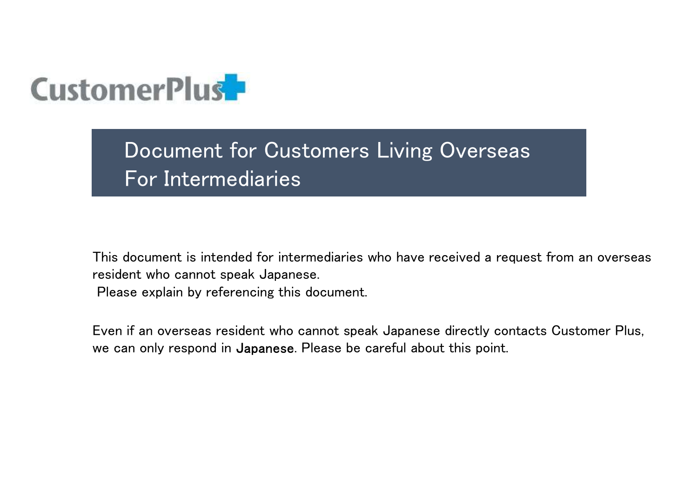

Document for Customers Living Overseas For Intermediaries

This document is intended for intermediaries who have received a request from an overseas resident who cannot speak Japanese.

Please explain by referencing this document.

Even if an overseas resident who cannot speak Japanese directly contacts Customer Plus, we can only respond in Japanese. Please be careful about this point.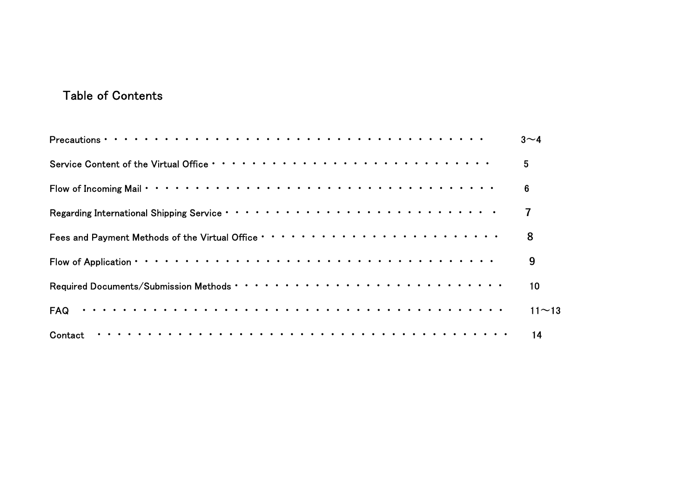# Table of Contents

| <b>Table of Contents</b> |           |
|--------------------------|-----------|
|                          | $3\sim$ 4 |
|                          | 5         |
|                          | 6         |
|                          | 7         |
|                          | 8         |
|                          | 9         |
|                          | 10        |
|                          | $11 - 13$ |
|                          | 14        |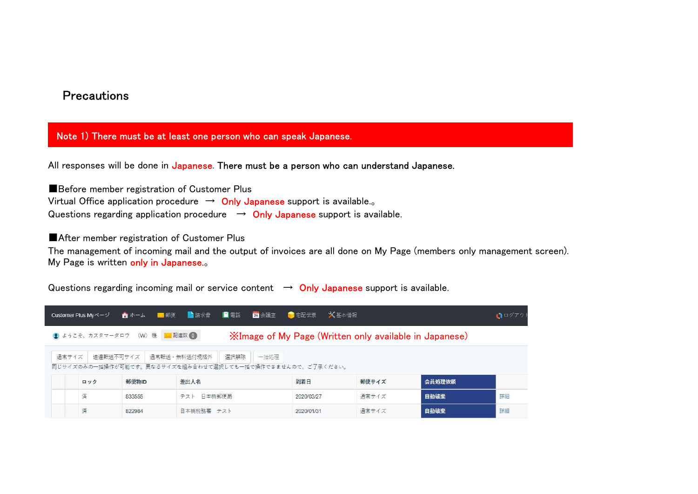## **Precautions**

#### Note 1) There must be at least one person who can speak Japanese.

All responses will be done in Japanese. There must be a person who can understand Japanese.

■Before member registration of Customer Plus Virtual Office application procedure  $\rightarrow$  Only Japanese support is available... Questions regarding application procedure  $\rightarrow$  Only Japanese support is available.

■After member registration of Customer Plus

The management of incoming mail and the output of invoices are all done on My Page (members only management screen). My Page is written only in Japanese.。

Questions regarding incoming mail or service content  $\rightarrow$  Only Japanese support is available.

| Customer Plus Myページ |                      |                               | ▲ ホーム ■ 郵便 ■ 請求書 ■ 電話 |              | 24 会議室 图 宅配伝票                                             | ☆ 基本情報                                                        |        | $\bigcap \Box$ |
|---------------------|----------------------|-------------------------------|-----------------------|--------------|-----------------------------------------------------------|---------------------------------------------------------------|--------|----------------|
|                     |                      | ● ようこそ、カスタマータロウ (W) 様 ■ 配達数 1 |                       |              |                                                           | <b>XImage of My Page (Written only available in Japanese)</b> |        |                |
| 通常サイズ               | 速達転送不可サイズ            |                               | 通常転送・無料送付規格外          | 選択解除<br>一括奶理 | 同じサイズのみの一括操作が可能です。異なるサイズを組み合わせて選択しても一括で操作できませんので、ご了承ください。 |                                                               |        |                |
|                     | ロック                  | 郵便物ID                         | 差出人名                  |              | 到着日                                                       | 郵便サイズ                                                         | 会員処理依頼 |                |
| 済                   |                      | テスト 日本橋郵便局<br>833555          |                       |              | 2020/03/27                                                | 通常サイズ                                                         | 自動破棄   | 詳細             |
| 済                   | 日本橋税務署 テスト<br>822984 |                               |                       | 2020/01/31   | 通常サイズ                                                     | 自動破棄                                                          | 詳細     |                |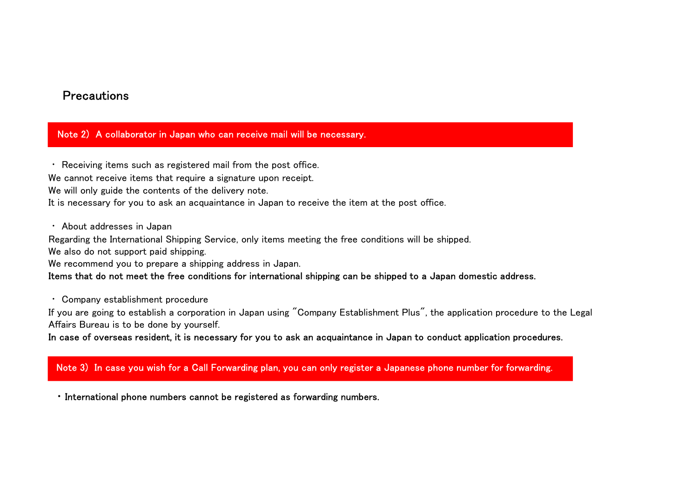# **Precautions**

#### Note 2) A collaborator in Japan who can receive mail will be necessary.

・ Receiving items such as registered mail from the post office. We cannot receive items that require a signature upon receipt. We will only guide the contents of the delivery note. It is necessary for you to ask an acquaintance in Japan to receive the item at the post office.

・ About addresses in Japan

Regarding the International Shipping Service, only items meeting the free conditions will be shipped.

We also do not support paid shipping.

We recommend you to prepare a shipping address in Japan.

#### Items that do not meet the free conditions for international shipping can be shipped to a Japan domestic address.

・ Company establishment procedure

If you are going to establish a corporation in Japan using "Company Establishment Plus", the application procedure to the Legal Affairs Bureau is to be done by yourself.

In case of overseas resident, it is necessary for you to ask an acquaintance in Japan to conduct application procedures.

#### Note 3) In case you wish for a Call Forwarding plan, you can only register a Japanese phone number for forwarding.

・ International phone numbers cannot be registered as forwarding numbers.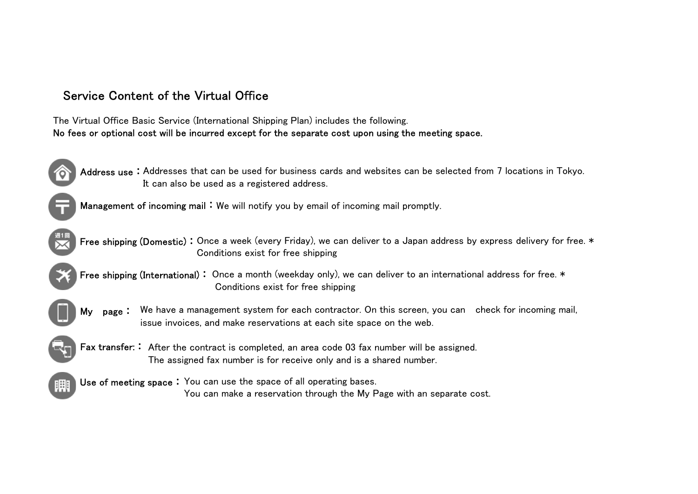

Service Content of the Virtual Office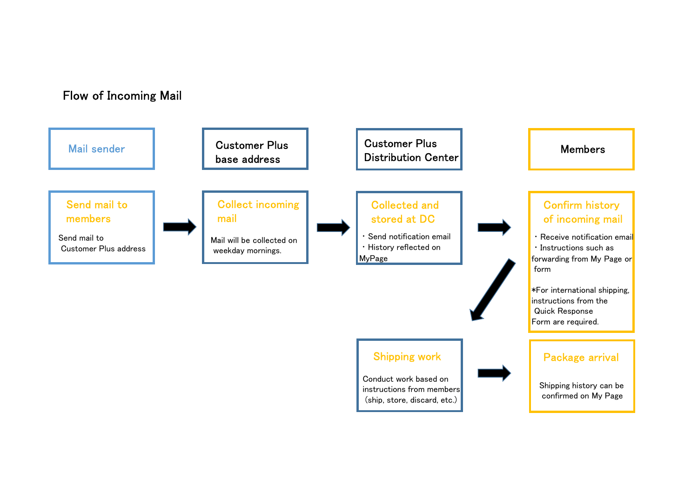# Flow of Incoming Mail

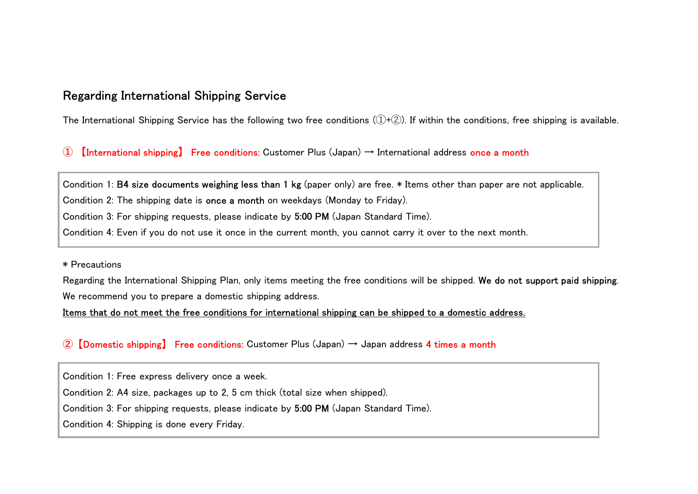# Regarding International Shipping Service

The International Shipping Service has the following two free conditions  $(1+(2))$ . If within the conditions, free shipping is available.

**Regarding International Shipping Service**<br>
The International Shipping Service has the following two free conditions (①+②). If within the conditions, free st<br>
① 【International shipping】 Free conditions: Customer Plus (Jap Condition 1: B4 size documents weighing less than 1 kg (paper only) are free. \* Items other than paper are not applicable. Condition 2: The shipping date is once a month on weekdays (Monday to Friday). Condition 3: For shipping requests, please indicate by 5:00 PM (Japan Standard Time). Condition 4: Even if you do not use it once in the current month, you cannot carry it over to the next month.

\* Precautions

Regarding the International Shipping Plan, only items meeting the free conditions will be shipped. We do not support paid shipping.<br>We recommend you to prepare a domestic shipping address.

Items that do not meet the free conditions for international shipping can be shipped to a domestic address.

#### 2 **[Domestic shipping]** Free conditions: Customer Plus (Japan)  $\rightarrow$  Japan address 4 times a month

Condition 1: Free express delivery once a week.

Condition 2: A4 size, packages up to 2, 5 cm thick (total size when shipped).

Condition 3: For shipping requests, please indicate by 5:00 PM (Japan Standard Time).

Condition 4: Shipping is done every Friday.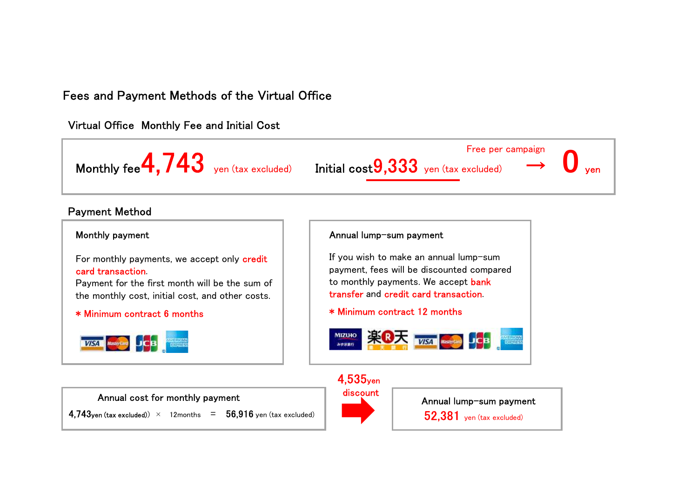# Fees and Payment Methods of the Virtual Office

**4.743yen (tax excluded)**  $\times$  12months = **56.916** yen (tax excluded)

Virtual Office Monthly Fee and Initial Cost



### Payment Method



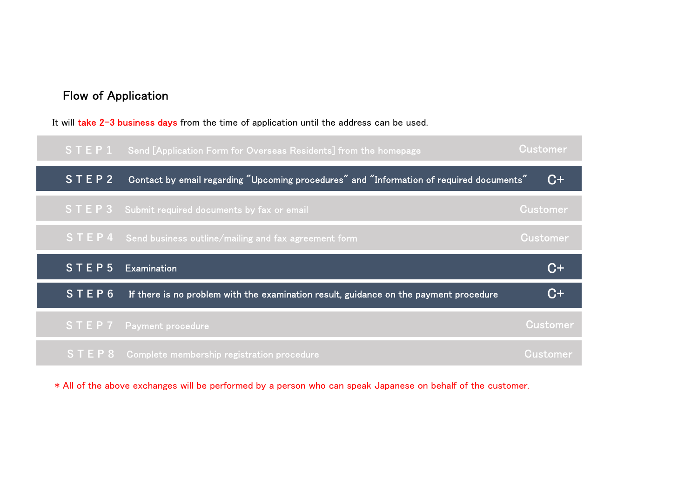# Flow of Application

It will take 2-3 business days from the time of application until the address can be used.



\* All of the above exchanges will be performed by a person who can speak Japanese on behalf of the customer.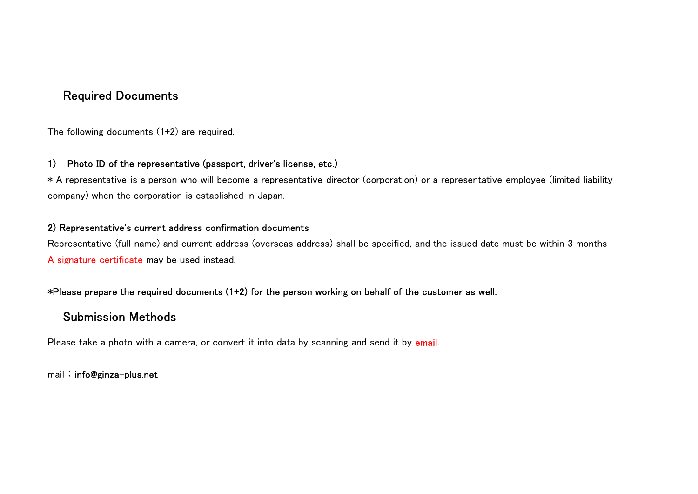# Required Documents

The following documents (1+2) are required.

#### 1) Photo ID of the representative (passport, driver's license, etc.)

\* A representative is a person who will become a representative director (corporation) or a representative employee (limited liability company) when the corporation is established in Japan.

#### 2) Representative's current address confirmation documents

Representative (full name) and current address (overseas address) shall be specified, and the issued date must be within 3 months A signature certificate may be used instead.

#### \*Please prepare the required documents (1+2) for the person working on behalf of the customer as well.

## Submission Methods

Please take a photo with a camera, or convert it into data by scanning and send it by email.

mail: info@ginza-plus.net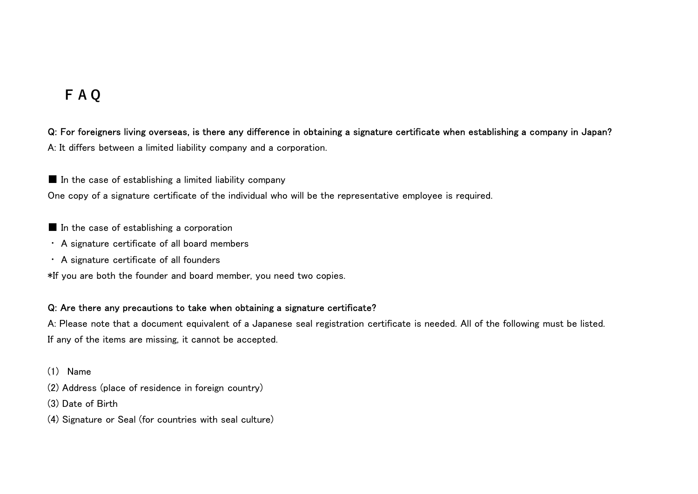# FAQ

Q: For foreigners living overseas, is there any difference in obtaining a signature certificate when establishing a company in Japan? A: It differs between a limited liability company and a corporation.

 $\blacksquare$  In the case of establishing a limited liability company

One copy of a signature certificate of the individual who will be the representative employee is required.

- In the case of establishing a corporation
- ・ A signature certificate of all board members
- ・ A signature certificate of all founders

\*If you are both the founder and board member, you need two copies.

#### Q: Are there any precautions to take when obtaining a signature certificate?

A: Please note that a document equivalent of a Japanese seal registration certificate is needed. All of the following must be listed. If any of the items are missing, it cannot be accepted.

- (1) Name
- (2) Address (place of residence in foreign country)
- (3) Date of Birth
- (4) Signature or Seal (for countries with seal culture)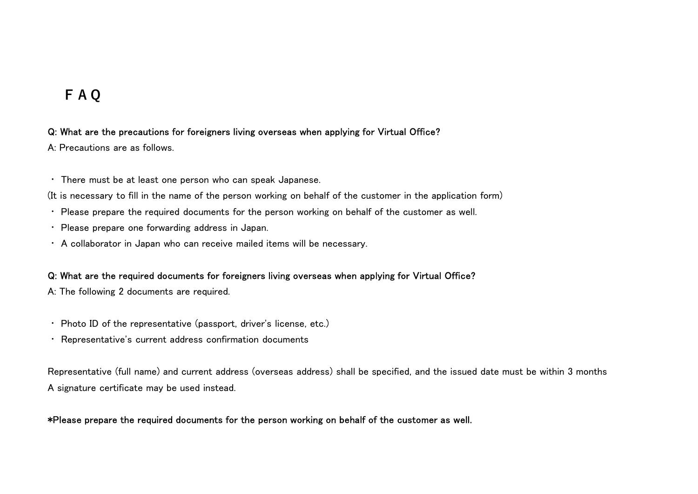# FAQ

#### Q: What are the precautions for foreigners living overseas when applying for Virtual Office?

A: Precautions are as follows.

・ There must be at least one person who can speak Japanese.

(It is necessary to fill in the name of the person working on behalf of the customer in the application form)

- ・ Please prepare the required documents for the person working on behalf of the customer as well.
- ・ Please prepare one forwarding address in Japan.
- ・ A collaborator in Japan who can receive mailed items will be necessary.

#### Q: What are the required documents for foreigners living overseas when applying for Virtual Office?

A: The following 2 documents are required.

- ・ Photo ID of the representative (passport, driver's license, etc.)
- ・ Representative's current address confirmation documents

Representative (full name) and current address (overseas address) shall be specified, and the issued date must be within 3 months A signature certificate may be used instead.

#### \*Please prepare the required documents for the person working on behalf of the customer as well.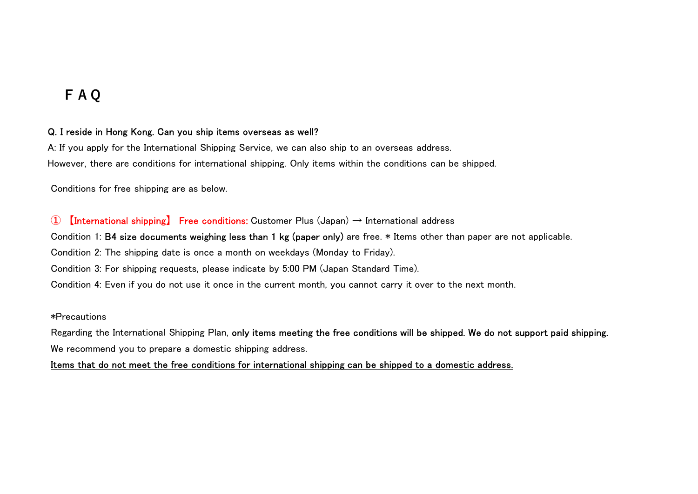# FAQ

#### Q. I reside in Hong Kong. Can you ship items overseas as well?

A: If you apply for the International Shipping Service, we can also ship to an overseas address. However, there are conditions for international shipping. Only items within the conditions can be shipped. **F A Q**<br>
2. I reside in Hong Kong. Can you ship items overseas as well?<br>
2. If you apply for the International Shipping Service, we can also ship to an overseas address.<br>
However, there are conditions for international s

Conditions for free shipping are as below.

Condition 1: B4 size documents weighing less than 1 kg (paper only) are free. \* Items other than paper are not applicable.

Condition 2: The shipping date is once a month on weekdays (Monday to Friday).

Condition 3: For shipping requests, please indicate by 5:00 PM (Japan Standard Time).

Condition 4: Even if you do not use it once in the current month, you cannot carry it over to the next month.

\*Precautions

Regarding the International Shipping Plan, <mark>only items meeting the free conditions will be shipped. We do not support paid shipping.</mark><br>We recommend you to prepare a domestic shipping address.

Items that do not meet the free conditions for international shipping can be shipped to a domestic address.